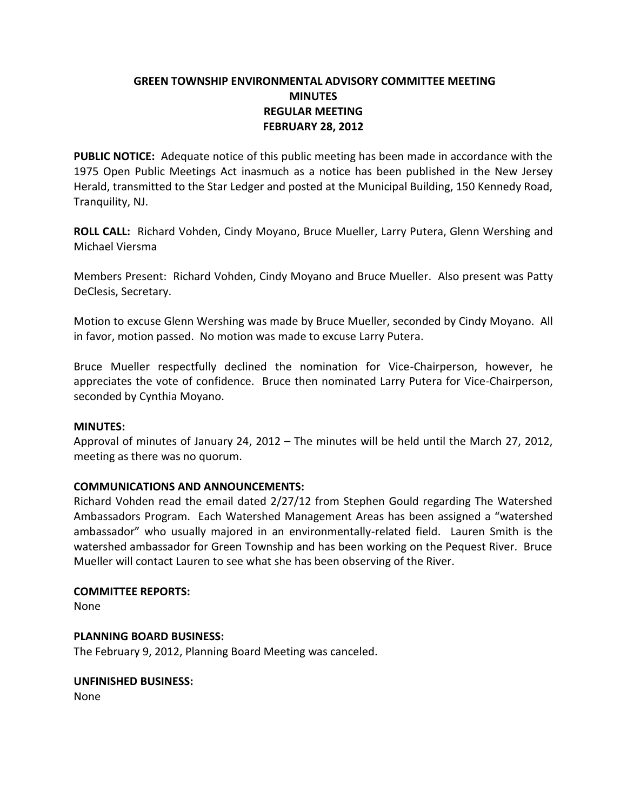# **GREEN TOWNSHIP ENVIRONMENTAL ADVISORY COMMITTEE MEETING MINUTES REGULAR MEETING FEBRUARY 28, 2012**

**PUBLIC NOTICE:** Adequate notice of this public meeting has been made in accordance with the 1975 Open Public Meetings Act inasmuch as a notice has been published in the New Jersey Herald, transmitted to the Star Ledger and posted at the Municipal Building, 150 Kennedy Road, Tranquility, NJ.

**ROLL CALL:** Richard Vohden, Cindy Moyano, Bruce Mueller, Larry Putera, Glenn Wershing and Michael Viersma

Members Present: Richard Vohden, Cindy Moyano and Bruce Mueller. Also present was Patty DeClesis, Secretary.

Motion to excuse Glenn Wershing was made by Bruce Mueller, seconded by Cindy Moyano. All in favor, motion passed. No motion was made to excuse Larry Putera.

Bruce Mueller respectfully declined the nomination for Vice-Chairperson, however, he appreciates the vote of confidence. Bruce then nominated Larry Putera for Vice-Chairperson, seconded by Cynthia Moyano.

## **MINUTES:**

Approval of minutes of January 24, 2012 – The minutes will be held until the March 27, 2012, meeting as there was no quorum.

## **COMMUNICATIONS AND ANNOUNCEMENTS:**

Richard Vohden read the email dated 2/27/12 from Stephen Gould regarding The Watershed Ambassadors Program. Each Watershed Management Areas has been assigned a "watershed ambassador" who usually majored in an environmentally-related field. Lauren Smith is the watershed ambassador for Green Township and has been working on the Pequest River. Bruce Mueller will contact Lauren to see what she has been observing of the River.

### **COMMITTEE REPORTS:**

None

## **PLANNING BOARD BUSINESS:**

The February 9, 2012, Planning Board Meeting was canceled.

### **UNFINISHED BUSINESS:**

None